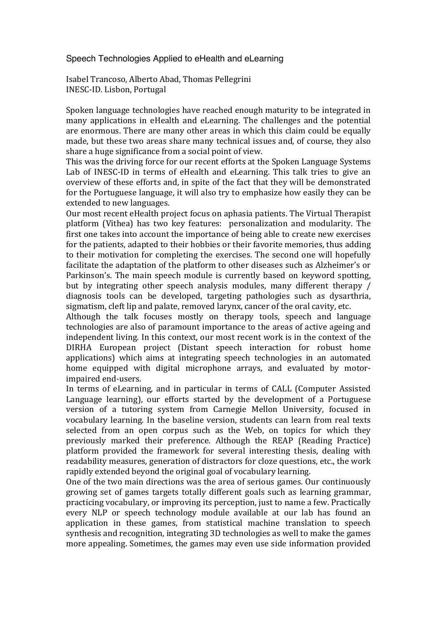## Speech Technologies Applied to eHealth and eLearning

Isabel Trancoso, Alberto Abad, Thomas Pellegrini INESC-ID. Lisbon, Portugal

Spoken language technologies have reached enough maturity to be integrated in many applications in eHealth and eLearning. The challenges and the potential are enormous. There are many other areas in which this claim could be equally made, but these two areas share many technical issues and, of course, they also share a huge significance from a social point of view.

This was the driving force for our recent efforts at the Spoken Language Systems Lab of INESC-ID in terms of eHealth and eLearning. This talk tries to give an overview of these efforts and, in spite of the fact that they will be demonstrated for the Portuguese language, it will also try to emphasize how easily they can be extended to new languages.

Our most recent eHealth project focus on aphasia patients. The Virtual Therapist platform (Vithea) has two key features: personalization and modularity. The first one takes into account the importance of being able to create new exercises for the patients, adapted to their hobbies or their favorite memories, thus adding to their motivation for completing the exercises. The second one will hopefully facilitate the adaptation of the platform to other diseases such as Alzheimer's or Parkinson's. The main speech module is currently based on keyword spotting, but by integrating other speech analysis modules, many different therapy / diagnosis tools can be developed, targeting pathologies such as dysarthria, sigmatism, cleft lip and palate, removed larynx, cancer of the oral cavity, etc.

Although the talk focuses mostly on therapy tools, speech and language technologies are also of paramount importance to the areas of active ageing and independent living. In this context, our most recent work is in the context of the DIRHA European project (Distant speech interaction for robust home applications) which aims at integrating speech technologies in an automated home equipped with digital microphone arrays, and evaluated by motorimpaired end-users.

In terms of eLearning, and in particular in terms of CALL (Computer Assisted Language learning), our efforts started by the development of a Portuguese version of a tutoring system from Carnegie Mellon University, focused in vocabulary learning. In the baseline version, students can learn from real texts selected from an open corpus such as the Web, on topics for which they previously marked their preference. Although the REAP (Reading Practice) platform provided the framework for several interesting thesis, dealing with readability measures, generation of distractors for cloze questions, etc., the work rapidly extended beyond the original goal of vocabulary learning.

One of the two main directions was the area of serious games. Our continuously growing set of games targets totally different goals such as learning grammar, practicing vocabulary, or improving its perception, just to name a few. Practically every NLP or speech technology module available at our lab has found an application in these games, from statistical machine translation to speech synthesis and recognition, integrating 3D technologies as well to make the games more appealing. Sometimes, the games may even use side information provided